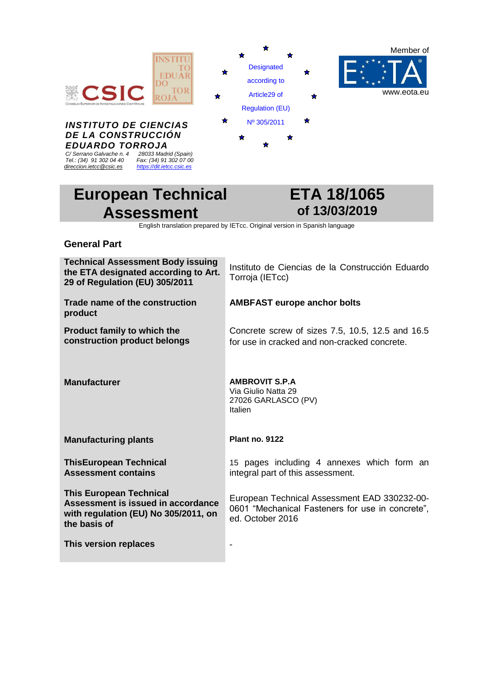

# **European Technical Assessment**



English translation prepared by IETcc. Original version in Spanish language

### **General Part**

| <b>Technical Assessment Body issuing</b><br>the ETA designated according to Art.<br>29 of Regulation (EU) 305/2011           | Instituto de Ciencias de la Construcción Eduardo<br>Torroja (IETcc)                                                  |
|------------------------------------------------------------------------------------------------------------------------------|----------------------------------------------------------------------------------------------------------------------|
| Trade name of the construction<br>product                                                                                    | <b>AMBFAST europe anchor bolts</b>                                                                                   |
| <b>Product family to which the</b><br>construction product belongs                                                           | Concrete screw of sizes 7.5, 10.5, 12.5 and 16.5<br>for use in cracked and non-cracked concrete.                     |
| <b>Manufacturer</b>                                                                                                          | <b>AMBROVIT S.P.A</b><br>Via Giulio Natta 29<br>27026 GARLASCO (PV)<br>Italien                                       |
| <b>Manufacturing plants</b>                                                                                                  | <b>Plant no. 9122</b>                                                                                                |
| <b>ThisEuropean Technical</b><br><b>Assessment contains</b>                                                                  | 15 pages including 4 annexes which form an<br>integral part of this assessment.                                      |
| <b>This European Technical</b><br>Assessment is issued in accordance<br>with regulation (EU) No 305/2011, on<br>the basis of | European Technical Assessment EAD 330232-00-<br>0601 "Mechanical Fasteners for use in concrete",<br>ed. October 2016 |
| This version replaces                                                                                                        |                                                                                                                      |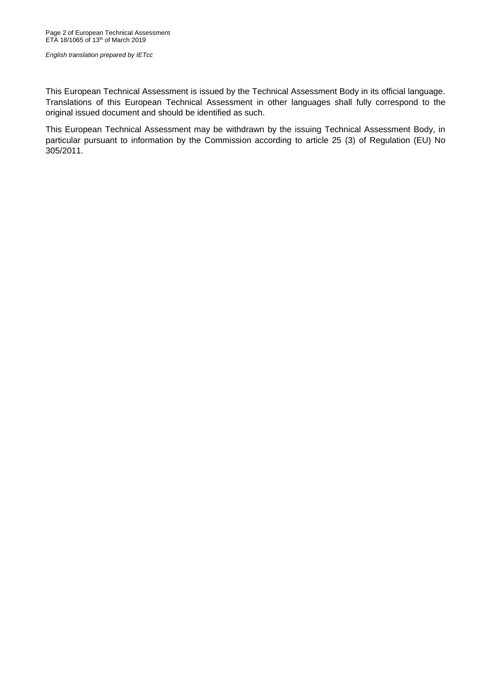This European Technical Assessment is issued by the Technical Assessment Body in its official language. Translations of this European Technical Assessment in other languages shall fully correspond to the original issued document and should be identified as such.

This European Technical Assessment may be withdrawn by the issuing Technical Assessment Body, in particular pursuant to information by the Commission according to article 25 (3) of Regulation (EU) No 305/2011.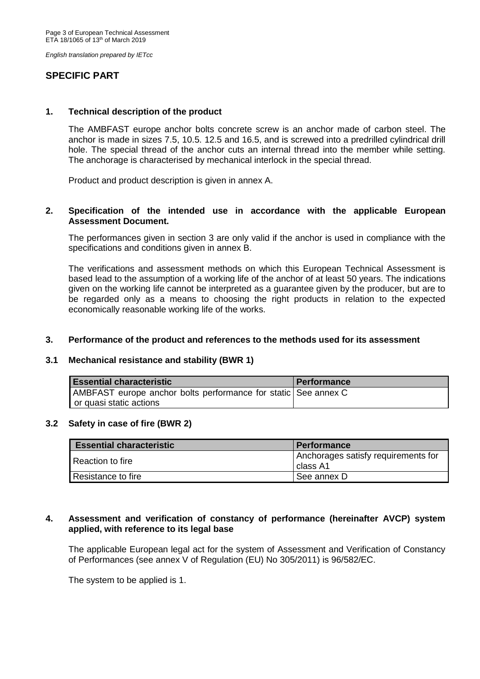### **SPECIFIC PART**

### **1. Technical description of the product**

The AMBFAST europe anchor bolts concrete screw is an anchor made of carbon steel. The anchor is made in sizes 7.5, 10.5. 12.5 and 16.5, and is screwed into a predrilled cylindrical drill hole. The special thread of the anchor cuts an internal thread into the member while setting. The anchorage is characterised by mechanical interlock in the special thread.

Product and product description is given in annex A.

#### **2. Specification of the intended use in accordance with the applicable European Assessment Document.**

The performances given in section 3 are only valid if the anchor is used in compliance with the specifications and conditions given in annex B.

The verifications and assessment methods on which this European Technical Assessment is based lead to the assumption of a working life of the anchor of at least 50 years. The indications given on the working life cannot be interpreted as a guarantee given by the producer, but are to be regarded only as a means to choosing the right products in relation to the expected economically reasonable working life of the works.

#### **3. Performance of the product and references to the methods used for its assessment**

#### **3.1 Mechanical resistance and stability (BWR 1)**

| <b>Essential characteristic</b>                                | <b>Performance</b> |
|----------------------------------------------------------------|--------------------|
| AMBFAST europe anchor bolts performance for static See annex C |                    |
| or quasi static actions                                        |                    |

#### **3.2 Safety in case of fire (BWR 2)**

| <b>Essential characteristic</b> | <b>Performance</b>                              |
|---------------------------------|-------------------------------------------------|
| l Reaction to fire              | Anchorages satisfy requirements for<br>class A1 |
| Resistance to fire              | See annex D                                     |

### **4. Assessment and verification of constancy of performance (hereinafter AVCP) system applied, with reference to its legal base**

The applicable European legal act for the system of Assessment and Verification of Constancy of Performances (see annex V of Regulation (EU) No 305/2011) is 96/582/EC.

The system to be applied is 1.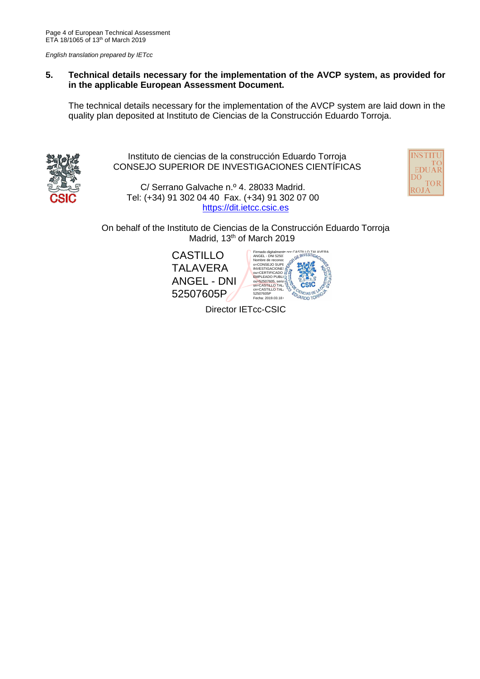### **5. Technical details necessary for the implementation of the AVCP system, as provided for in the applicable European Assessment Document.**

The technical details necessary for the implementation of the AVCP system are laid down in the quality plan deposited at Instituto de Ciencias de la Construcción Eduardo Torroja.



Instituto de ciencias de la construcción Eduardo Torroja CONSEJO SUPERIOR DE INVESTIGACIONES CIENTÍFICAS

C/ Serrano Galvache n.º 4. 28033 Madrid. Tel: (+34) 91 302 04 40 Fax. (+34) 91 302 07 00 https://dit.ietcc.csic.es



On behalf of the Instituto de Ciencias de la Construcción Eduardo Torroja Madrid, 13<sup>th</sup> of March 2019

CASTILLO TALAVERA ANGEL - DNI 52507605P SASTILLO TALAVERA<br>OE INVESTIGA<sub>O</sub> Firmado digitalment<br>ANGEL - DNI 5250 Nombre de reconocimiento (DN): combre de reconocimiento (DN): computationes computationes computationes computationes computationes computationes computationes computationes computationes computationes computationes comput EMPLEADO PUBLI **ou=52507605, serialWamber\_COLOREST**<br>Sn=CASTILLO TALAVERA **COLOREST** 52507605P <br>Fecha: 2019.03.18 Fecha:

Director IETcc-CSIC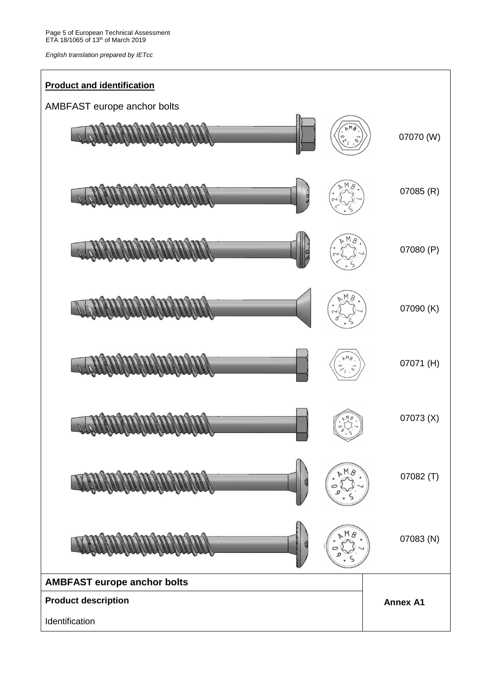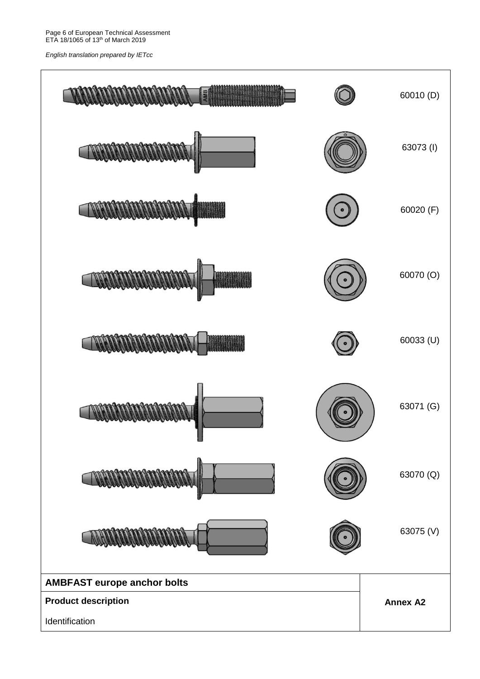Page 6 of European Technical Assessment ETA 18/1065 of 13<sup>th</sup> of March 2019

*English translation prepared by IETcc*

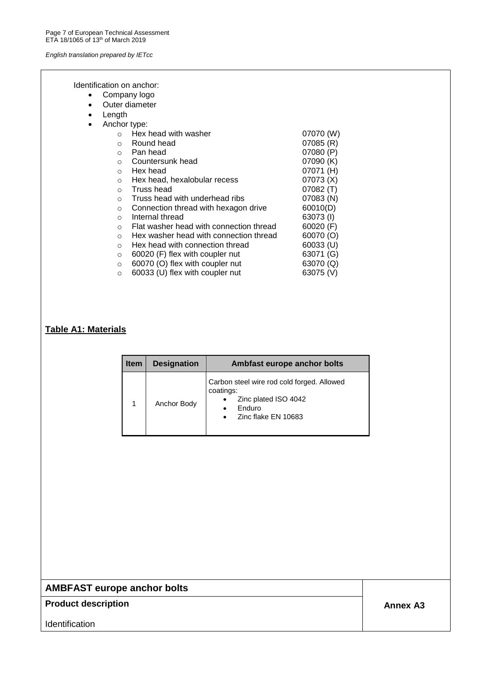Identification on anchor:

- Company logo
- Outer diameter
- Length

| Anchor type: |                                         |           |
|--------------|-----------------------------------------|-----------|
| $\Omega$     | Hex head with washer                    | 07070 (W) |
| $\Omega$     | Round head                              | 07085(R)  |
| $\circ$      | Pan head                                | 07080 (P) |
| $\Omega$     | Countersunk head                        | 07090 (K) |
| $\Omega$     | Hex head                                | 07071 (H) |
| $\Omega$     | Hex head, hexalobular recess            | 07073 (X) |
| $\circ$      | Truss head                              | 07082(T)  |
| $\circ$      | Truss head with underhead ribs          | 07083 (N) |
| $\circ$      | Connection thread with hexagon drive    | 60010(D)  |
| $\Omega$     | Internal thread                         | 63073(I)  |
| $\bigcirc$   | Flat washer head with connection thread | 60020 (F) |
| $\Omega$     | Hex washer head with connection thread  | 60070 (O) |
| $\Omega$     | Hex head with connection thread         | 60033 (U) |
| $\Omega$     | 60020 (F) flex with coupler nut         | 63071 (G) |
| $\circ$      | 60070 (O) flex with coupler nut         | 63070 (Q) |
| $\Omega$     | 60033 (U) flex with coupler nut         | 63075 (V) |
|              |                                         |           |

### **Table A1: Materials**

| <b>Item</b> | <b>Designation</b> | Ambfast europe anchor bolts                                                                                                                     |
|-------------|--------------------|-------------------------------------------------------------------------------------------------------------------------------------------------|
|             | Anchor Body        | Carbon steel wire rod cold forged. Allowed<br>coatings:<br>Zinc plated ISO 4042<br>٠<br>Enduro<br>$\bullet$<br>Zinc flake EN 10683<br>$\bullet$ |

# **AMBFAST europe anchor bolts**

### **Product description Annex A3**

**Identification**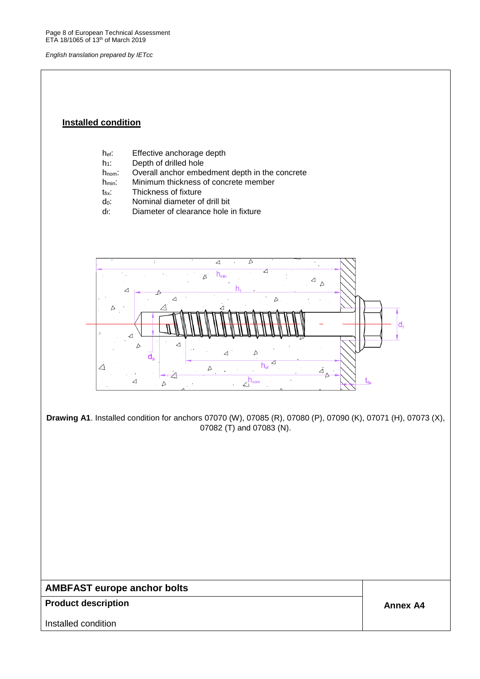Page 8 of European Technical Assessment ETA 18/1065 of 13<sup>th</sup> of March 2019

*English translation prepared by IETcc*

### **Installed condition**

- hef: Effective anchorage depth
- h<sub>1</sub>: Depth of drilled hole
- hnom: Overall anchor embedment depth in the concrete
- h<sub>min</sub>: Minimum thickness of concrete member
- t<sub>fix</sub>: Thickness of fixture
- d0: Nominal diameter of drill bit
- $d_f$ : Diameter of clearance hole in fixture



**Drawing A1**. Installed condition for anchors 07070 (W), 07085 (R), 07080 (P), 07090 (K), 07071 (H), 07073 (X), 07082 (T) and 07083 (N).

## **AMBFAST europe anchor bolts**

#### **Product description Annex A4 Annex A4**

Installed condition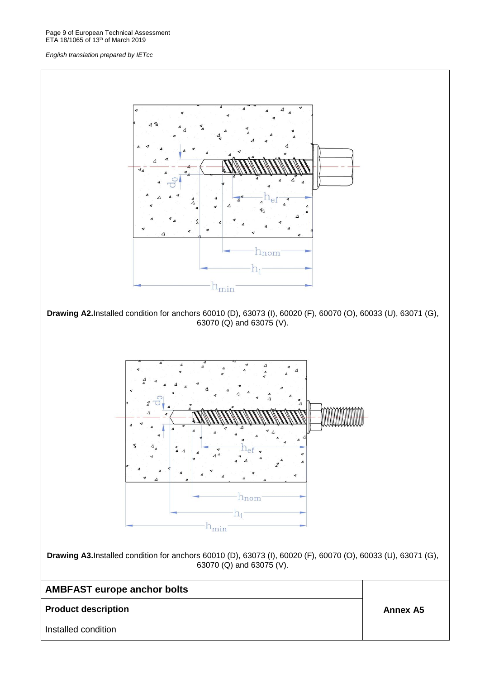Page 9 of European Technical Assessment ETA 18/1065 of 13<sup>th</sup> of March 2019

#### *English translation prepared by IETcc*

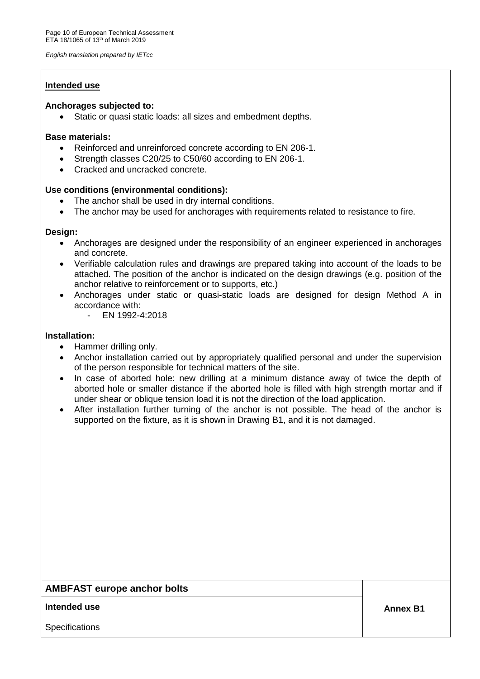### **Intended use**

#### **Anchorages subjected to:**

Static or quasi static loads: all sizes and embedment depths.

### **Base materials:**

- Reinforced and unreinforced concrete according to EN 206-1.
- Strength classes C20/25 to C50/60 according to EN 206-1.
- Cracked and uncracked concrete.

### **Use conditions (environmental conditions):**

- The anchor shall be used in dry internal conditions.
- The anchor may be used for anchorages with requirements related to resistance to fire.

### **Design:**

- Anchorages are designed under the responsibility of an engineer experienced in anchorages and concrete.
- Verifiable calculation rules and drawings are prepared taking into account of the loads to be attached. The position of the anchor is indicated on the design drawings (e.g. position of the anchor relative to reinforcement or to supports, etc.)
- Anchorages under static or quasi-static loads are designed for design Method A in accordance with:
	- EN 1992-4:2018

### **Installation:**

- Hammer drilling only.
- Anchor installation carried out by appropriately qualified personal and under the supervision of the person responsible for technical matters of the site.
- In case of aborted hole: new drilling at a minimum distance away of twice the depth of aborted hole or smaller distance if the aborted hole is filled with high strength mortar and if under shear or oblique tension load it is not the direction of the load application.
- After installation further turning of the anchor is not possible. The head of the anchor is supported on the fixture, as it is shown in Drawing B1, and it is not damaged.

### **AMBFAST europe anchor bolts**

### **Intended use the contract of the contract of the contract of the contract of the contract of the contract of the contract of the contract of the contract of the contract of the contract of the contract of the contract of**

**Specifications**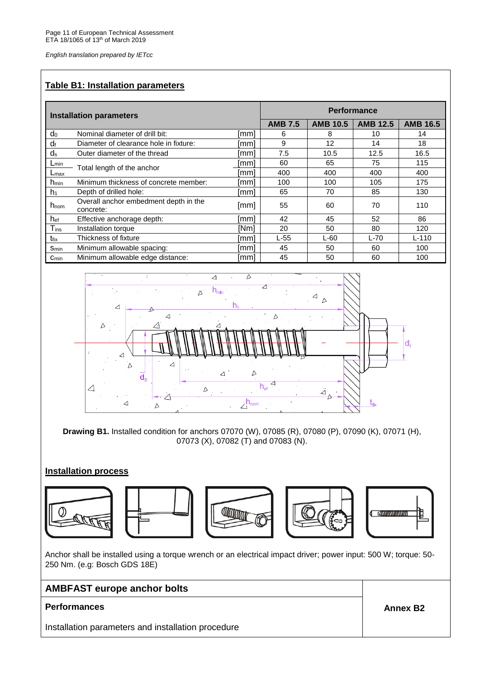### **Table B1: Installation parameters**

| <b>Installation parameters</b> |                                                    | <b>Performance</b> |                |                 |                 |                 |
|--------------------------------|----------------------------------------------------|--------------------|----------------|-----------------|-----------------|-----------------|
|                                |                                                    |                    | <b>AMB 7.5</b> | <b>AMB 10.5</b> | <b>AMB 12.5</b> | <b>AMB 16.5</b> |
| $d_0$                          | Nominal diameter of drill bit:                     | [mm]               | 6              | 8               | 10              | 14              |
| df                             | Diameter of clearance hole in fixture:             | [mm]               | 9              | 12              | 14              | 18              |
| $d_s$                          | Outer diameter of the thread                       | [mm]               | 7.5            | 10.5            | 12.5            | 16.5            |
| $L_{min}$                      | Total length of the anchor                         | [mm]               | 60             | 65              | 75              | 115             |
| Lmax                           |                                                    | [mm]               | 400            | 400             | 400             | 400             |
| h <sub>min</sub>               | Minimum thickness of concrete member:              | [mm]               | 100            | 100             | 105             | 175             |
| h <sub>1</sub>                 | Depth of drilled hole:                             | [mm]               | 65             | 70              | 85              | 130             |
| $h_{\text{nom}}$               | Overall anchor embedment depth in the<br>concrete: | [mm]               | 55             | 60              | 70              | 110             |
| h <sub>ef</sub>                | Effective anchorage depth:                         | [mm]               | 42             | 45              | 52              | 86              |
| $T_{ins}$                      | Installation torque                                | [Nm]               | 20             | 50              | 80              | 120             |
| t <sub>fix</sub>               | Thickness of fixture                               | [mm]               | $L-55$         | $L-60$          | $L-70$          | $L - 110$       |
| <b>Smin</b>                    | Minimum allowable spacing:                         | [mm]               | 45             | 50              | 60              | 100             |
| $C_{min}$                      | Minimum allowable edge distance:                   | [mm]               | 45             | 50              | 60              | 100             |



**Drawing B1.** Installed condition for anchors 07070 (W), 07085 (R), 07080 (P), 07090 (K), 07071 (H), 07073 (X), 07082 (T) and 07083 (N).

### **Installation process**



Anchor shall be installed using a torque wrench or an electrical impact driver; power input: 500 W; torque: 50- 250 Nm. (e.g: Bosch GDS 18E)

### **AMBFAST europe anchor bolts**

### **Performances Annex B2**

Installation parameters and installation procedure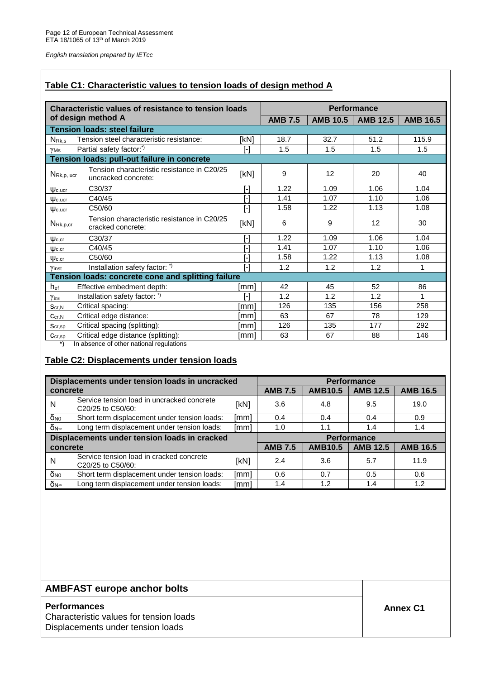### **Table C1: Characteristic values to tension loads of design method A**

| Characteristic values of resistance to tension loads                                                                                                                                                                                                                                        |                   |                |                 | <b>Performance</b> |                 |
|---------------------------------------------------------------------------------------------------------------------------------------------------------------------------------------------------------------------------------------------------------------------------------------------|-------------------|----------------|-----------------|--------------------|-----------------|
| of design method A                                                                                                                                                                                                                                                                          |                   | <b>AMB 7.5</b> | <b>AMB 10.5</b> | <b>AMB 12.5</b>    | <b>AMB 16.5</b> |
| <b>Tension loads: steel failure</b>                                                                                                                                                                                                                                                         |                   |                |                 |                    |                 |
| Tension steel characteristic resistance:<br>N <sub>Rk,s</sub>                                                                                                                                                                                                                               | [kN]              | 18.7           | 32.7            | 51.2               | 115.9           |
| Partial safety factor:*)<br>YMs                                                                                                                                                                                                                                                             | [-]               | 1.5            | 1.5             | 1.5                | 1.5             |
| Tension loads: pull-out failure in concrete                                                                                                                                                                                                                                                 |                   |                |                 |                    |                 |
| Tension characteristic resistance in C20/25<br>NRk, p, ucr<br>uncracked concrete:                                                                                                                                                                                                           | [kN]              | 9              | 12              | 20                 | 40              |
| C30/37<br>$\Psi_{c, \text{ucr}}$                                                                                                                                                                                                                                                            | $\lceil - \rceil$ | 1.22           | 1.09            | 1.06               | 1.04            |
| C40/45<br>$\Psi$ <sub>c,ucr</sub>                                                                                                                                                                                                                                                           | $\overline{[}$    | 1.41           | 1.07            | 1.10               | 1.06            |
| C50/60<br>$\Psi$ <sub>c,ucr</sub>                                                                                                                                                                                                                                                           | $\overline{[}$    | 1.58           | 1.22            | 1.13               | 1.08            |
| Tension characteristic resistance in C20/25<br>$N_{\mathsf{Rk},p,cr}$<br>cracked concrete:                                                                                                                                                                                                  | [kN]              | 6              | 9               | 12                 | 30              |
| C30/37<br>$\Psi$ <sub>c.cr</sub>                                                                                                                                                                                                                                                            | r-1               | 1.22           | 1.09            | 1.06               | 1.04            |
| C40/45<br>$\Psi$ <sub>c.cr</sub>                                                                                                                                                                                                                                                            | [-]               | 1.41           | 1.07            | 1.10               | 1.06            |
| C50/60<br>$\Psi$ <sub>c,cr</sub>                                                                                                                                                                                                                                                            | $\overline{[}$    | 1.58           | 1.22            | 1.13               | 1.08            |
| Installation safety factor: *)<br>Yinst                                                                                                                                                                                                                                                     | $\overline{[}$    | 1.2            | 1.2             | 1.2                | 1               |
| Tension loads: concrete cone and splitting failure                                                                                                                                                                                                                                          |                   |                |                 |                    |                 |
| Effective embedment depth:<br>hef                                                                                                                                                                                                                                                           | [mm]              | 42             | 45              | 52                 | 86              |
| Installation safety factor: *)<br>$\gamma_{ins}$                                                                                                                                                                                                                                            | ГJ                | 1.2            | 1.2             | 1.2                | 1               |
| Critical spacing:<br>Scr, N                                                                                                                                                                                                                                                                 | [mm]              | 126            | 135             | 156                | 258             |
| Critical edge distance:<br>Ccr.N                                                                                                                                                                                                                                                            | [mm]              | 63             | 67              | 78                 | 129             |
| Critical spacing (splitting):<br>Scr, sp                                                                                                                                                                                                                                                    | [mm]              | 126            | 135             | 177                | 292             |
| Critical edge distance (splitting):<br>$C_{cr,sp}$<br>$*$<br>the police of a constant and a continue of the second police of the first second second second second second second second second second second second second second second second second second second second second second s | [mm]              | 63             | 67              | 88                 | 146             |

\*) In absence of other national regulations

### **Table C2: Displacements under tension loads**

|                       | Displacements under tension loads in uncracked                  |      |                                                     | <b>Performance</b> |                 |                 |  |  |
|-----------------------|-----------------------------------------------------------------|------|-----------------------------------------------------|--------------------|-----------------|-----------------|--|--|
| concrete              |                                                                 |      | <b>AMB 12.5</b><br><b>AMB 7.5</b><br><b>AMB10.5</b> |                    |                 | <b>AMB 16.5</b> |  |  |
| N                     | Service tension load in uncracked concrete<br>C20/25 to C50/60: | [kN] | 3.6                                                 | 4.8                | 9.5             | 19.0            |  |  |
| $\delta_{N0}$         | Short term displacement under tension loads:                    | [mm] | 0.4                                                 | 0.4                | 0.4             | 0.9             |  |  |
| $\delta_{N^{\infty}}$ | Long term displacement under tension loads:                     | [mm] | 1.0                                                 | 1.1                | 1.4             | 1.4             |  |  |
|                       | Displacements under tension loads in cracked                    |      |                                                     | <b>Performance</b> |                 |                 |  |  |
| concrete              |                                                                 |      | <b>AMB 7.5</b>                                      | <b>AMB10.5</b>     | <b>AMB 12.5</b> | <b>AMB 16.5</b> |  |  |
| N                     | Service tension load in cracked concrete<br>C20/25 to C50/60:   | [kN] | 2.4                                                 | 3.6                | 5.7             | 11.9            |  |  |
| $\delta_{N0}$         | Short term displacement under tension loads:                    | [mm] | 0.6                                                 | 0.7                | 0.5             | 0.6             |  |  |
| $\delta_{N^{\infty}}$ | Long term displacement under tension loads:                     | [mm] | 1.4                                                 | 1.2                | 1.4             | 1.2             |  |  |

# **AMBFAST europe anchor bolts**

### **Performances Annex C1**

Characteristic values for tension loads Displacements under tension loads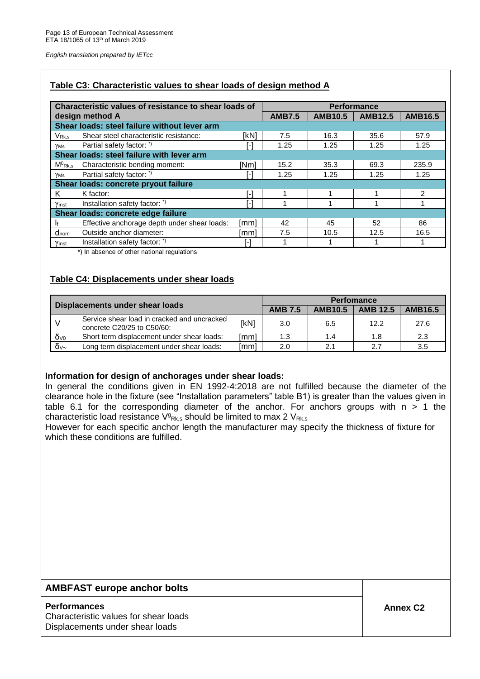### **Table C3: Characteristic values to shear loads of design method A**

|                              | Characteristic values of resistance to shear loads of |                | <b>Performance</b> |                |                |                |
|------------------------------|-------------------------------------------------------|----------------|--------------------|----------------|----------------|----------------|
|                              | design method A                                       |                | <b>AMB7.5</b>      | <b>AMB10.5</b> | <b>AMB12.5</b> | <b>AMB16.5</b> |
|                              | Shear loads: steel failure without lever arm          |                |                    |                |                |                |
| $V_{\mathsf{Rk}.\mathsf{s}}$ | Shear steel characteristic resistance:                | [kN]           | 7.5                | 16.3           | 35.6           | 57.9           |
| γMs                          | Partial safety factor: *)                             | l-l            | 1.25               | 1.25           | 1.25           | 1.25           |
|                              | Shear loads: steel failure with lever arm             |                |                    |                |                |                |
| $M^0$ <sub>Rk,s</sub>        | Characteristic bending moment:                        | [Nm]           | 15.2               | 35.3           | 69.3           | 235.9          |
| γMs                          | Partial safety factor: *)                             | H              | 1.25               | 1.25           | 1.25           | 1.25           |
|                              | Shear loads: concrete pryout failure                  |                |                    |                |                |                |
| K                            | K factor:                                             | н.             |                    |                |                | $\mathcal{P}$  |
| Yinst                        | Installation safety factor: *)                        | $\overline{a}$ |                    |                |                |                |
|                              | Shear loads: concrete edge failure                    |                |                    |                |                |                |
|                              | Effective anchorage depth under shear loads:          | [mm]           | 42                 | 45             | 52             | 86             |
| $d_{nom}$                    | Outside anchor diameter:                              | [mm]           | 7.5                | 10.5           | 12.5           | 16.5           |
| Yinst                        | Installation safety factor: *)                        | [-]            |                    |                |                |                |

\*) In absence of other national regulations

### **Table C4: Displacements under shear loads**

| Displacements under shear loads |                                                                           | <b>Perfomance</b> |                |                |                 |                |
|---------------------------------|---------------------------------------------------------------------------|-------------------|----------------|----------------|-----------------|----------------|
|                                 |                                                                           |                   | <b>AMB 7.5</b> | <b>AMB10.5</b> | <b>AMB 12.5</b> | <b>AMB16.5</b> |
|                                 | Service shear load in cracked and uncracked<br>concrete C20/25 to C50/60: | [kN]              | 3.0            | 6.5            | 12.2            | 27.6           |
| $\delta v_0$                    | Short term displacement under shear loads:                                | [mm]              | 1.3            | 1.4            | 1.8             | 2.3            |
| $\delta v^*$                    | Long term displacement under shear loads:                                 | [mm]              | 2.0            | 2.1            | 2.7             | 3.5            |

#### **Information for design of anchorages under shear loads:**

In general the conditions given in EN 1992-4:2018 are not fulfilled because the diameter of the clearance hole in the fixture (see "Installation parameters" table B1) is greater than the values given in table 6.1 for the corresponding diameter of the anchor. For anchors groups with  $n > 1$  the characteristic load resistance  $V_{\rm Rk,s}$  should be limited to max 2  $V_{\rm Rk,s}$ 

However for each specific anchor length the manufacturer may specify the thickness of fixture for which these conditions are fulfilled.

### **AMBFAST europe anchor bolts**

#### **Performances Annex C2**

Characteristic values for shear loads Displacements under shear loads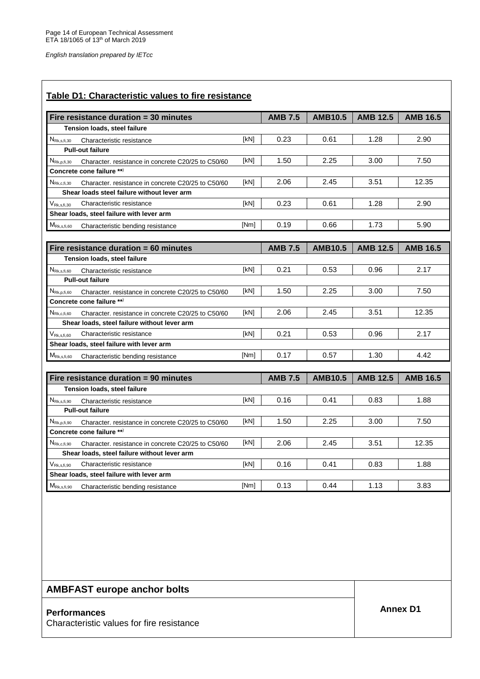| Fire resistance duration = 30 minutes                                                |      | <b>AMB 7.5</b> | <b>AMB10.5</b> | <b>AMB 12.5</b> | <b>AMB 16.5</b> |
|--------------------------------------------------------------------------------------|------|----------------|----------------|-----------------|-----------------|
| Tension loads, steel failure                                                         |      |                |                |                 |                 |
| $N_{\text{Rk},\text{s},\text{fi},30}$<br>Characteristic resistance                   | [kN] | 0.23           | 0.61           | 1.28            | 2.90            |
| <b>Pull-out failure</b>                                                              |      |                |                |                 |                 |
| $N_{\text{Rk},p,\text{fi},30}$<br>Character. resistance in concrete C20/25 to C50/60 | [kN] | 1.50           | 2.25           | 3.00            | 7.50            |
| Concrete cone failure **)                                                            |      |                |                |                 |                 |
| $N_{\text{Rk},c,\text{fi},30}$<br>Character, resistance in concrete C20/25 to C50/60 | [kN] | 2.06           | 2.45           | 3.51            | 12.35           |
| Shear loads steel failure without lever arm                                          |      |                |                |                 |                 |
| $\mathsf{V}_{\mathsf{Rk},\mathsf{s},\mathsf{fi},30}$<br>Characteristic resistance    | [kN] | 0.23           | 0.61           | 1.28            | 2.90            |
| Shear loads, steel failure with lever arm                                            |      |                |                |                 |                 |
| $M_{\rm Rk,s,fi,60}$<br>Characteristic bending resistance                            | [Nm] | 0.19           | 0.66           | 1.73            | 5.90            |
|                                                                                      |      |                |                |                 |                 |
| Fire resistance duration $= 60$ minutes                                              |      | <b>AMB 7.5</b> | <b>AMB10.5</b> | <b>AMB 12.5</b> | <b>AMB 16.5</b> |
| Tension loads, steel failure                                                         |      |                |                |                 |                 |
| $N_{\text{Rk},s,\text{fi},60}$<br>Characteristic resistance                          | [kN] | 0.21           | 0.53           | 0.96            | 2.17            |
| <b>Pull-out failure</b>                                                              |      |                |                |                 |                 |
| $N_{\text{Rk},p,\text{fi},60}$<br>Character. resistance in concrete C20/25 to C50/60 | [kN] | 1.50           | 2.25           | 3.00            | 7.50            |
| Concrete cone failure **)                                                            |      |                |                |                 |                 |
| $N_{\text{Rk},c,\text{fi},60}$<br>Character, resistance in concrete C20/25 to C50/60 | [kN] | 2.06           | 2.45           | 3.51            | 12.35           |
| Shear loads, steel failure without lever arm                                         |      |                |                |                 |                 |
| $V_{\mathsf{Rk},\mathsf{s},\mathsf{fi},\mathsf{60}}$<br>Characteristic resistance    | [kN] | 0.21           | 0.53           | 0.96            | 2.17            |
| Shear loads, steel failure with lever arm                                            |      |                |                |                 |                 |
| $M_{\rm Rk,s,fi,60}$<br>Characteristic bending resistance                            | [Nm] | 0.17           | 0.57           | 1.30            | 4.42            |
|                                                                                      |      |                |                |                 |                 |
| Fire resistance duration = 90 minutes                                                |      | <b>AMB 7.5</b> | <b>AMB10.5</b> | <b>AMB 12.5</b> | <b>AMB 16.5</b> |
| Tension loads, steel failure                                                         |      |                |                |                 |                 |
| $N_{\text{Rk},\text{s},\text{fi},90}$<br>Characteristic resistance                   | [kN] | 0.16           | 0.41           | 0.83            | 1.88            |
| <b>Pull-out failure</b>                                                              |      |                |                |                 |                 |
| $N_{\text{Rk},p,\text{fi},90}$<br>Character. resistance in concrete C20/25 to C50/60 | [kN] | 1.50           | 2.25           | 3.00            | 7.50            |
| Concrete cone failure **)                                                            |      |                |                |                 |                 |
| NRK,c,fi,90 Character. resistance in concrete C20/25 to C50/60                       | [kN] | 2.06           | 2.45           | 3.51            | 12.35           |
| Shear loads, steel failure without lever arm                                         |      |                |                |                 |                 |
| Characteristic resistance<br>$V_{\mathsf{Rk},\mathsf{s},\mathsf{fi},90}$             | [kN] | 0.16           | 0.41           | 0.83            | 1.88            |
| Shear loads, steel failure with lever arm                                            |      |                |                |                 |                 |
|                                                                                      |      |                |                |                 |                 |

**AMBFAST europe anchor bolts**

# **Annex D1 Performances**

Characteristic values for fire resistance